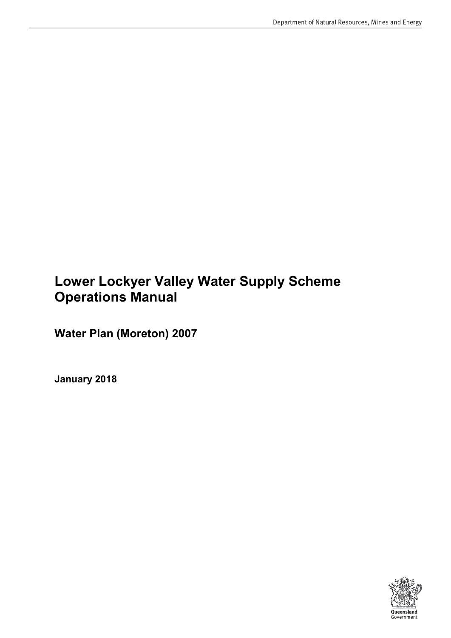### **Lower Lockyer Valley Water Supply Scheme Operations Manual**

**Water Plan (Moreton) 2007**

**January 2018**

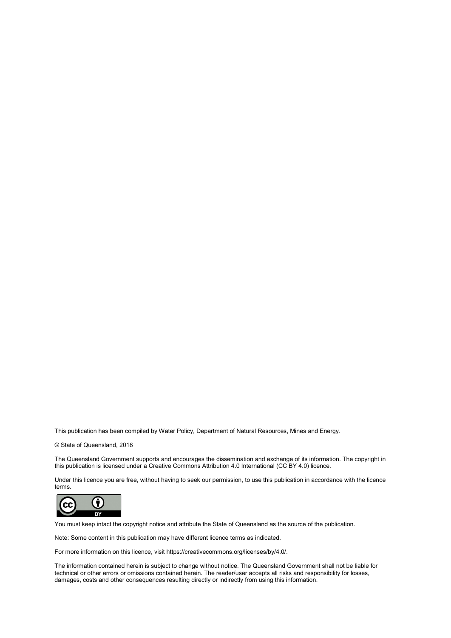This publication has been compiled by Water Policy, Department of Natural Resources, Mines and Energy.

© State of Queensland, 2018

The Queensland Government supports and encourages the dissemination and exchange of its information. The copyright in this publication is licensed under a Creative Commons Attribution 4.0 International (CC BY 4.0) licence.

Under this licence you are free, without having to seek our permission, to use this publication in accordance with the licence terms.



You must keep intact the copyright notice and attribute the State of Queensland as the source of the publication.

Note: Some content in this publication may have different licence terms as indicated.

For more information on this licence, visit https://creativecommons.org/licenses/by/4.0/.

The information contained herein is subject to change without notice. The Queensland Government shall not be liable for technical or other errors or omissions contained herein. The reader/user accepts all risks and responsibility for losses, damages, costs and other consequences resulting directly or indirectly from using this information.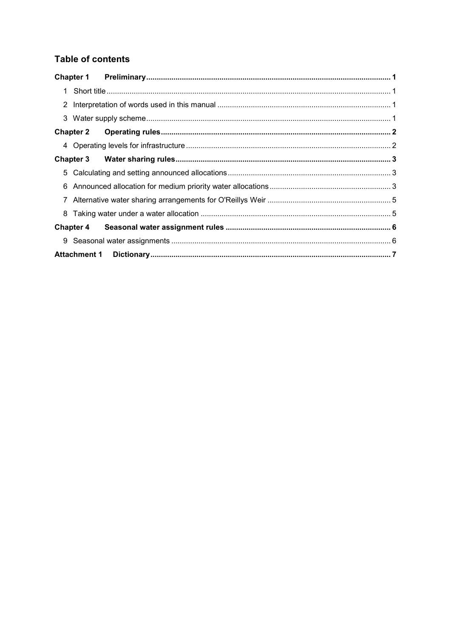### **Table of contents**

|   | <b>Chapter 2</b> |  |
|---|------------------|--|
|   |                  |  |
|   | <b>Chapter 3</b> |  |
| 5 |                  |  |
| 6 |                  |  |
|   |                  |  |
|   |                  |  |
|   | <b>Chapter 4</b> |  |
|   |                  |  |
|   |                  |  |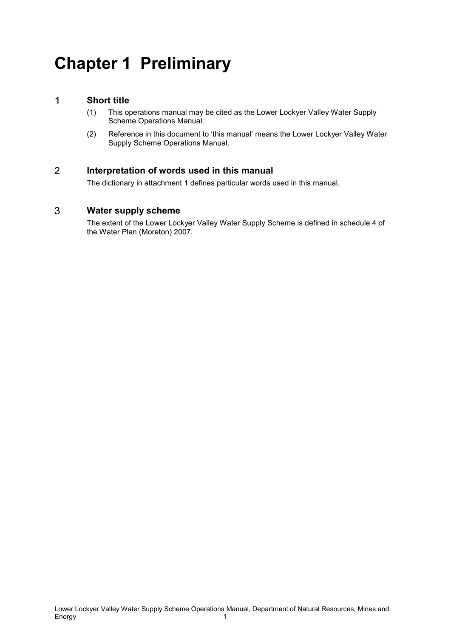## <span id="page-3-0"></span>**Chapter 1 Preliminary**

#### <span id="page-3-1"></span> $\mathbf{1}$ **Short title**

- (1) This operations manual may be cited as the Lower Lockyer Valley Water Supply Scheme Operations Manual.
- (2) Reference in this document to 'this manual' means the Lower Lockyer Valley Water Supply Scheme Operations Manual.

#### <span id="page-3-2"></span> $\overline{2}$ **Interpretation of words used in this manual**

The dictionary in attachment 1 defines particular words used in this manual.

#### <span id="page-3-3"></span>3 **Water supply scheme**

The extent of the Lower Lockyer Valley Water Supply Scheme is defined in schedule 4 of the Water Plan (Moreton) 2007.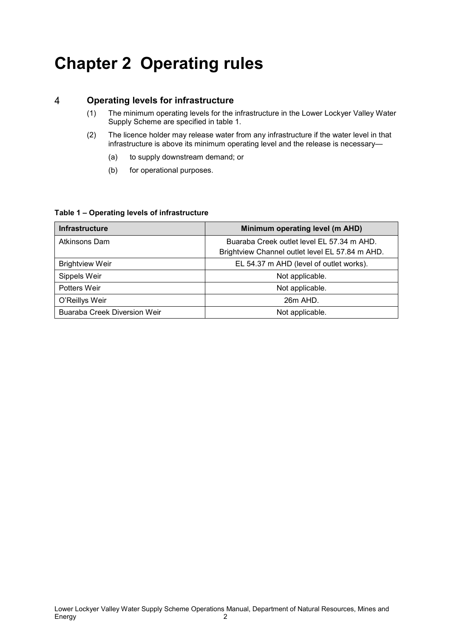# <span id="page-4-0"></span>**Chapter 2 Operating rules**

#### <span id="page-4-1"></span> $\overline{4}$ **Operating levels for infrastructure**

- (1) The minimum operating levels for the infrastructure in the Lower Lockyer Valley Water Supply Scheme are specified in table 1.
- (2) The licence holder may release water from any infrastructure if the water level in that infrastructure is above its minimum operating level and the release is necessary—
	- (a) to supply downstream demand; or
	- (b) for operational purposes.

### **Table 1 – Operating levels of infrastructure**

| <b>Infrastructure</b>               | Minimum operating level (m AHD)                 |  |  |
|-------------------------------------|-------------------------------------------------|--|--|
| Atkinsons Dam                       | Buaraba Creek outlet level EL 57.34 m AHD.      |  |  |
|                                     | Brightview Channel outlet level EL 57.84 m AHD. |  |  |
| <b>Brightview Weir</b>              | EL 54.37 m AHD (level of outlet works).         |  |  |
| Sippels Weir                        | Not applicable.                                 |  |  |
| Potters Weir                        | Not applicable.                                 |  |  |
| O'Reillys Weir                      | 26m AHD.                                        |  |  |
| <b>Buaraba Creek Diversion Weir</b> | Not applicable.                                 |  |  |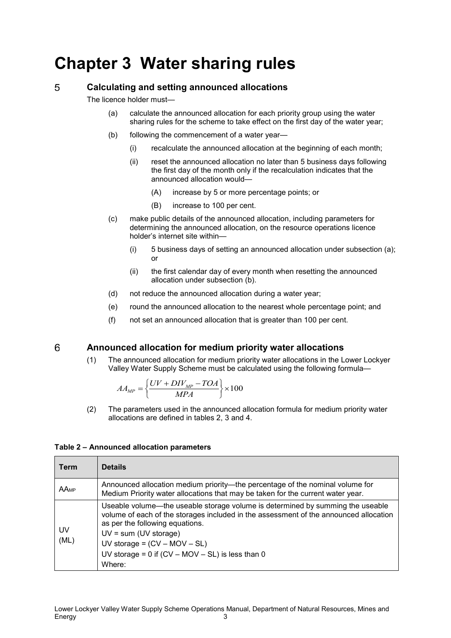## <span id="page-5-0"></span>**Chapter 3 Water sharing rules**

#### <span id="page-5-1"></span>5 **Calculating and setting announced allocations**

The licence holder must—

- (a) calculate the announced allocation for each priority group using the water sharing rules for the scheme to take effect on the first day of the water year;
- (b) following the commencement of a water year—
	- (i) recalculate the announced allocation at the beginning of each month;
	- (ii) reset the announced allocation no later than 5 business days following the first day of the month only if the recalculation indicates that the announced allocation would—
		- (A) increase by 5 or more percentage points; or
		- (B) increase to 100 per cent.
- (c) make public details of the announced allocation, including parameters for determining the announced allocation, on the resource operations licence holder's internet site within—
	- (i) 5 business days of setting an announced allocation under subsection (a); or
	- (ii) the first calendar day of every month when resetting the announced allocation under subsection (b).
- (d) not reduce the announced allocation during a water year;
- (e) round the announced allocation to the nearest whole percentage point; and
- (f) not set an announced allocation that is greater than 100 per cent.

#### <span id="page-5-2"></span>6 **Announced allocation for medium priority water allocations**

(1) The announced allocation for medium priority water allocations in the Lower Lockyer Valley Water Supply Scheme must be calculated using the following formula—

$$
AA_{MP} = \left\{ \frac{UV + DIV_{MP} - TOA}{MPA} \right\} \times 100
$$

(2) The parameters used in the announced allocation formula for medium priority water allocations are defined in tables 2, 3 and 4.

### **Table 2 – Announced allocation parameters**

| Term                                                                                                                                                                     | <b>Details</b>                                                                                                                                                                                                                                                                                                                          |  |
|--------------------------------------------------------------------------------------------------------------------------------------------------------------------------|-----------------------------------------------------------------------------------------------------------------------------------------------------------------------------------------------------------------------------------------------------------------------------------------------------------------------------------------|--|
| Announced allocation medium priority—the percentage of the nominal volume for<br>AAMP<br>Medium Priority water allocations that may be taken for the current water year. |                                                                                                                                                                                                                                                                                                                                         |  |
| UV<br>(ML)                                                                                                                                                               | Useable volume—the useable storage volume is determined by summing the useable<br>volume of each of the storages included in the assessment of the announced allocation<br>as per the following equations.<br>$UV = sum (UV storage)$<br>UV storage = $(CV - MOV - SL)$<br>UV storage = $0$ if (CV – MOV – SL) is less than 0<br>Where: |  |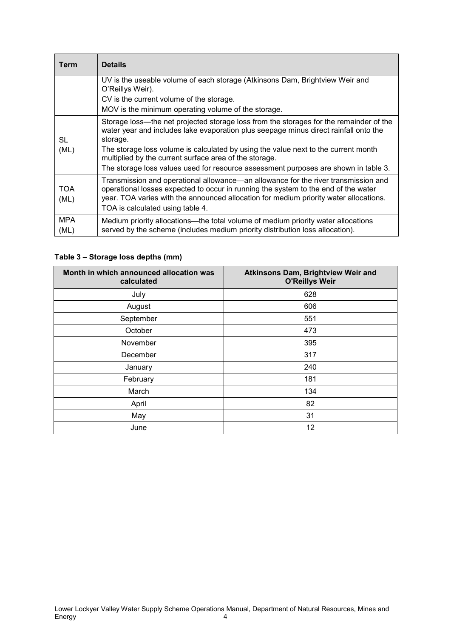| Term               | <b>Details</b>                                                                                                                                                                                                                                                                                                                                                                                                                                                                           |
|--------------------|------------------------------------------------------------------------------------------------------------------------------------------------------------------------------------------------------------------------------------------------------------------------------------------------------------------------------------------------------------------------------------------------------------------------------------------------------------------------------------------|
|                    | UV is the useable volume of each storage (Atkinsons Dam, Brightview Weir and<br>O'Reillys Weir).                                                                                                                                                                                                                                                                                                                                                                                         |
|                    | CV is the current volume of the storage.                                                                                                                                                                                                                                                                                                                                                                                                                                                 |
| SL<br>(ML)         | MOV is the minimum operating volume of the storage.<br>Storage loss—the net projected storage loss from the storages for the remainder of the<br>water year and includes lake evaporation plus seepage minus direct rainfall onto the<br>storage.<br>The storage loss volume is calculated by using the value next to the current month<br>multiplied by the current surface area of the storage.<br>The storage loss values used for resource assessment purposes are shown in table 3. |
| <b>TOA</b><br>(ML) | Transmission and operational allowance—an allowance for the river transmission and<br>operational losses expected to occur in running the system to the end of the water<br>year. TOA varies with the announced allocation for medium priority water allocations.<br>TOA is calculated using table 4.                                                                                                                                                                                    |
| <b>MPA</b><br>(ML) | Medium priority allocations—the total volume of medium priority water allocations<br>served by the scheme (includes medium priority distribution loss allocation).                                                                                                                                                                                                                                                                                                                       |

### **Table 3 – Storage loss depths (mm)**

| Month in which announced allocation was<br>calculated | Atkinsons Dam, Brightview Weir and<br><b>O'Reillys Weir</b> |
|-------------------------------------------------------|-------------------------------------------------------------|
| July                                                  | 628                                                         |
| August                                                | 606                                                         |
| September                                             | 551                                                         |
| October                                               | 473                                                         |
| November                                              | 395                                                         |
| December                                              | 317                                                         |
| January                                               | 240                                                         |
| February                                              | 181                                                         |
| March                                                 | 134                                                         |
| April                                                 | 82                                                          |
| May                                                   | 31                                                          |
| June                                                  | 12                                                          |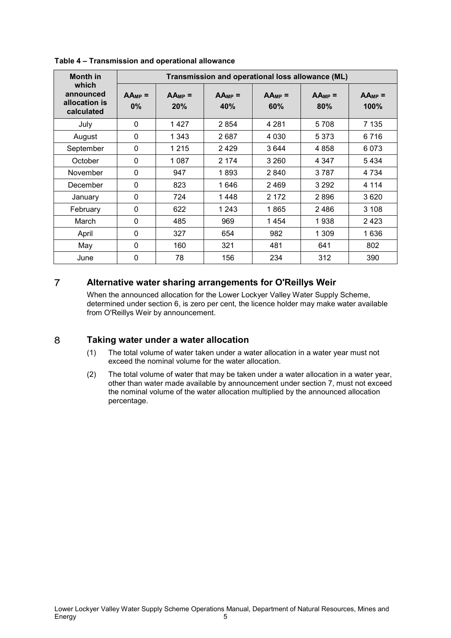| <b>Month in</b>                                   | Transmission and operational loss allowance (ML) |                    |                    |                    |                    |                     |
|---------------------------------------------------|--------------------------------------------------|--------------------|--------------------|--------------------|--------------------|---------------------|
| which<br>announced<br>allocation is<br>calculated | $AA_{MP}$ =<br>$0\%$                             | $AA_{MP}$ =<br>20% | $AA_{MP}$ =<br>40% | $AA_{MP}$ =<br>60% | $AA_{MP}$ =<br>80% | $AA_{MP}$ =<br>100% |
| July                                              | 0                                                | 1427               | 2854               | 4 2 8 1            | 5708               | 7 135               |
| August                                            | 0                                                | 1 3 4 3            | 2687               | 4 0 3 0            | 5 3 7 3            | 6716                |
| September                                         | 0                                                | 1 2 1 5            | 2429               | 3644               | 4858               | 6073                |
| October                                           | 0                                                | 1087               | 2 1 7 4            | 3 2 6 0            | 4 347              | 5434                |
| November                                          | 0                                                | 947                | 1893               | 2840               | 3787               | 4 7 3 4             |
| December                                          | 0                                                | 823                | 1646               | 2469               | 3 2 9 2            | 4 1 1 4             |
| January                                           | 0                                                | 724                | 1448               | 2 172              | 2896               | 3620                |
| February                                          | $\mathbf{0}$                                     | 622                | 1 2 4 3            | 1865               | 2486               | 3 1 0 8             |
| March                                             | 0                                                | 485                | 969                | 1454               | 1938               | 2 4 2 3             |
| April                                             | 0                                                | 327                | 654                | 982                | 1 309              | 1636                |
| May                                               | 0                                                | 160                | 321                | 481                | 641                | 802                 |
| June                                              | 0                                                | 78                 | 156                | 234                | 312                | 390                 |

**Table 4 – Transmission and operational allowance**

#### <span id="page-7-0"></span> $\overline{7}$ **Alternative water sharing arrangements for O'Reillys Weir**

When the announced allocation for the Lower Lockyer Valley Water Supply Scheme, determined under section 6, is zero per cent, the licence holder may make water available from O'Reillys Weir by announcement.

#### <span id="page-7-1"></span>8 **Taking water under a water allocation**

- (1) The total volume of water taken under a water allocation in a water year must not exceed the nominal volume for the water allocation.
- (2) The total volume of water that may be taken under a water allocation in a water year, other than water made available by announcement under section 7, must not exceed the nominal volume of the water allocation multiplied by the announced allocation percentage.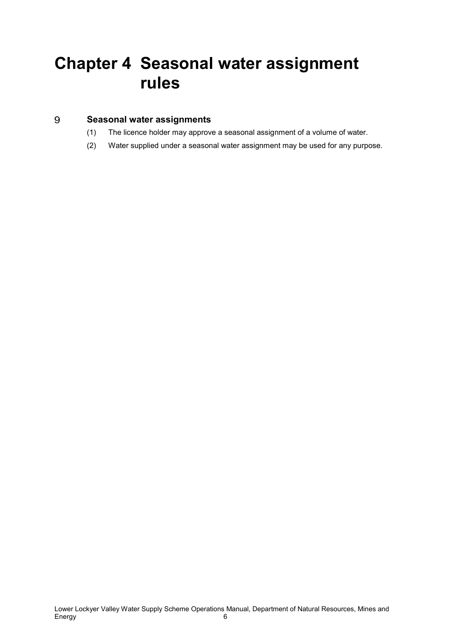## <span id="page-8-0"></span>**Chapter 4 Seasonal water assignment rules**

#### <span id="page-8-1"></span>9 **Seasonal water assignments**

- (1) The licence holder may approve a seasonal assignment of a volume of water.
- (2) Water supplied under a seasonal water assignment may be used for any purpose.